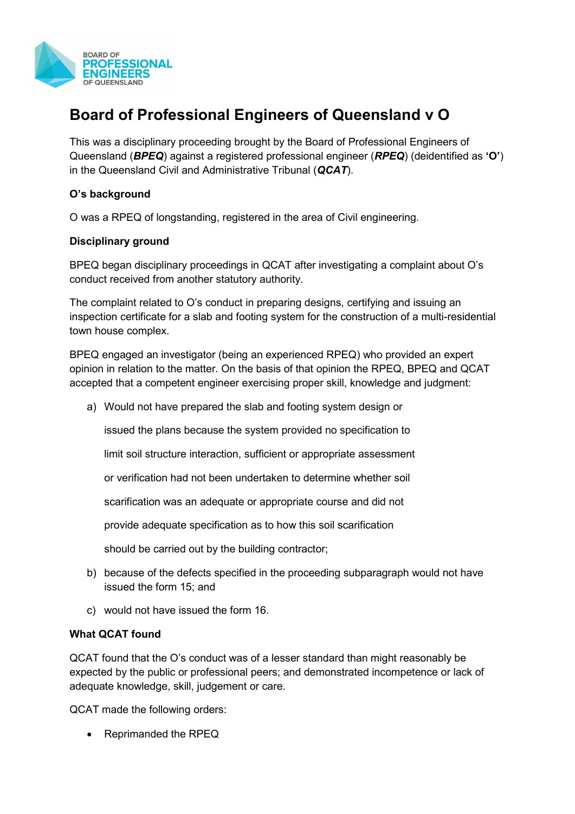

## **Board of Professional Engineers of Queensland v O**

This was a disciplinary proceeding brought by the Board of Professional Engineers of Queensland (*BPEQ*) against a registered professional engineer (*RPEQ*) (deidentified as **'O'**) in the Queensland Civil and Administrative Tribunal (*QCAT*).

## **O's background**

O was a RPEQ of longstanding, registered in the area of Civil engineering.

## **Disciplinary ground**

BPEQ began disciplinary proceedings in QCAT after investigating a complaint about O's conduct received from another statutory authority.

The complaint related to O's conduct in preparing designs, certifying and issuing an inspection certificate for a slab and footing system for the construction of a multi-residential town house complex.

BPEQ engaged an investigator (being an experienced RPEQ) who provided an expert opinion in relation to the matter. On the basis of that opinion the RPEQ, BPEQ and QCAT accepted that a competent engineer exercising proper skill, knowledge and judgment:

a) Would not have prepared the slab and footing system design or

issued the plans because the system provided no specification to

limit soil structure interaction, sufficient or appropriate assessment

or verification had not been undertaken to determine whether soil

scarification was an adequate or appropriate course and did not

provide adequate specification as to how this soil scarification

should be carried out by the building contractor;

- b) because of the defects specified in the proceeding subparagraph would not have issued the form 15; and
- c) would not have issued the form 16.

## **What QCAT found**

QCAT found that the O's conduct was of a lesser standard than might reasonably be expected by the public or professional peers; and demonstrated incompetence or lack of adequate knowledge, skill, judgement or care.

QCAT made the following orders:

• Reprimanded the RPEQ